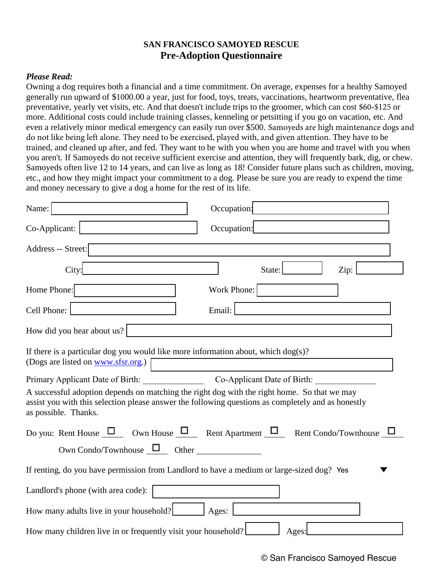## **SAN FRANCISCO SAMOYED RESCUE Pre-Adoption Questionnaire**

## *Please Read:*

Owning a dog requires both a financial and a time commitment. On average, expenses for a healthy Samoyed generally run upward of \$1000.00 a year, just for food, toys, treats, vaccinations, heartworm preventative, flea preventative, yearly vet visits, etc. And that doesn't include trips to the groomer, which can cost \$60-\$125 or more. Additional costs could include training classes, kenneling or petsitting if you go on vacation, etc. And even a relatively minor medical emergency can easily run over \$500. Samoyeds are high maintenance dogs and do not like being left alone. They need to be exercised, played with, and given attention. They have to be trained, and cleaned up after, and fed. They want to be with you when you are home and travel with you when you aren't. If Samoyeds do not receive sufficient exercise and attention, they will frequently bark, dig, or chew. Samoyeds often live 12 to 14 years, and can live as long as 18! Consider future plans such as children, moving, etc., and how they might impact your commitment to a dog. Please be sure you are ready to expend the time and money necessary to give a dog a home for the rest of its life.

| Name:                                                                                                                                                                                                                     | Occupation:                                                                                  |
|---------------------------------------------------------------------------------------------------------------------------------------------------------------------------------------------------------------------------|----------------------------------------------------------------------------------------------|
| Co-Applicant:                                                                                                                                                                                                             | Occupation:                                                                                  |
| Address -- Street:                                                                                                                                                                                                        |                                                                                              |
| City:                                                                                                                                                                                                                     | State:<br>Zip:                                                                               |
| Home Phone:                                                                                                                                                                                                               | Work Phone:                                                                                  |
| Cell Phone:                                                                                                                                                                                                               | Email:                                                                                       |
| How did you hear about us?                                                                                                                                                                                                |                                                                                              |
| If there is a particular dog you would like more information about, which $\log(s)$ ?<br>(Dogs are listed on www.sfsr.org.)                                                                                               |                                                                                              |
| Primary Applicant Date of Birth: Co-Applicant Date of Birth:                                                                                                                                                              |                                                                                              |
| A successful adoption depends on matching the right dog with the right home. So that we may<br>assist you with this selection please answer the following questions as completely and as honestly<br>as possible. Thanks. |                                                                                              |
|                                                                                                                                                                                                                           | Do you: Rent House $\Box$ Own House $\Box$ Rent Apartment $\Box$ Rent Condo/Townhouse $\Box$ |
| Own Condo/Townhouse $\Box$ Other $\Box$                                                                                                                                                                                   |                                                                                              |
| If renting, do you have permission from Landlord to have a medium or large-sized dog? Yes                                                                                                                                 |                                                                                              |
| Landlord's phone (with area code):                                                                                                                                                                                        |                                                                                              |
| How many adults live in your household?<br>Ages:                                                                                                                                                                          |                                                                                              |
| How many children live in or frequently visit your household?                                                                                                                                                             | Ages:                                                                                        |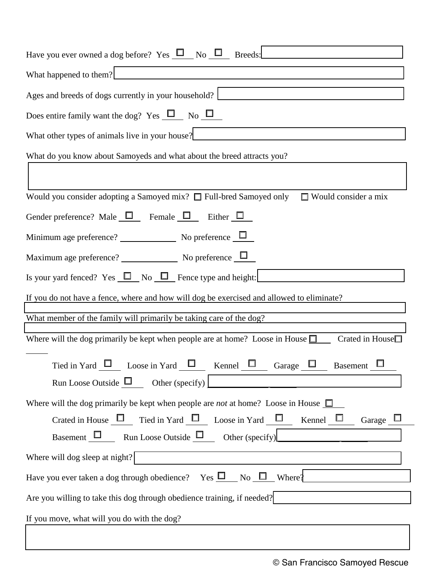| Have you ever owned a dog before? Yes $\Box$ No $\Box$ Breeds: $\Box$                                                                                                                                                                                                      |  |
|----------------------------------------------------------------------------------------------------------------------------------------------------------------------------------------------------------------------------------------------------------------------------|--|
| What happened to them?                                                                                                                                                                                                                                                     |  |
| Ages and breeds of dogs currently in your household?<br><u>Letter and the contract of dogs currently</u> in your household?                                                                                                                                                |  |
| Does entire family want the dog? Yes $\Box$ No $\Box$                                                                                                                                                                                                                      |  |
| What other types of animals live in your house?<br><u>Letting</u> the set of animals live in your house?<br><u>Letting</u> the set of animals live in your house?<br><br><u>Letting</u> the set of the set of the set of the set of the set of the se                      |  |
| What do you know about Samoyeds and what about the breed attracts you?                                                                                                                                                                                                     |  |
|                                                                                                                                                                                                                                                                            |  |
| Would you consider adopting a Samoyed mix? $\Box$ Full-bred Samoyed only<br>$\Box$ Would consider a mix                                                                                                                                                                    |  |
| Gender preference? Male $\Box$ Female $\Box$ Either $\Box$                                                                                                                                                                                                                 |  |
| Minimum age preference? $\sqrt{\phantom{a_{13}}\phantom{a_{13}}\phantom{a_{13}}\!\!}$ No preference $\sqrt{\phantom{a_{13}}\phantom{a_{13}}\!\!}$                                                                                                                          |  |
| Maximum age preference? $\sqrt{ }$ No preference $\boxed{\Box}$                                                                                                                                                                                                            |  |
| Is your yard fenced? Yes $\Box$ No $\Box$ Fence type and height:                                                                                                                                                                                                           |  |
| If you do not have a fence, where and how will dog be exercised and allowed to eliminate?                                                                                                                                                                                  |  |
| What member of the family will primarily be taking care of the dog?                                                                                                                                                                                                        |  |
| Where will the dog primarily be kept when people are at home? Loose in House $\Box$ Crated in House $\Box$                                                                                                                                                                 |  |
| Tied in Yard $\Box$ Loose in Yard $\Box$ Kennel $\Box$ Garage $\Box$ Basement $\Box$                                                                                                                                                                                       |  |
| Where will the dog primarily be kept when people are <i>not</i> at home? Loose in House $\Box$<br>Crated in House $\Box$ Tied in Yard $\Box$ Loose in Yard $\Box$ Kennel $\Box$<br>Garage $\Box$<br>Basement $\Box$ Run Loose Outside $\Box$ Other (specify) $\Box$ $\Box$ |  |
|                                                                                                                                                                                                                                                                            |  |
| Have you ever taken a dog through obedience? Yes $\square$ No $\square$ Where?                                                                                                                                                                                             |  |
| Are you willing to take this dog through obedience training, if needed?                                                                                                                                                                                                    |  |
| If you move, what will you do with the dog?<br><u> 1980 - Johann Stein, fransk politik (f. 1980)</u>                                                                                                                                                                       |  |
|                                                                                                                                                                                                                                                                            |  |